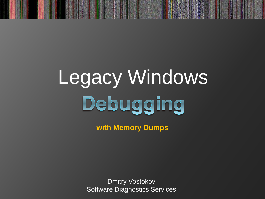# Legacy Windows Debugging

**with Memory Dumps**

Dmitry Vostokov Software Diagnostics Services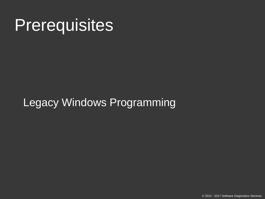#### **Prerequisites**

#### Legacy Windows Programming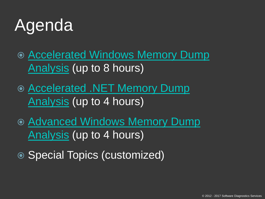# Agenda

- [Accelerated Windows Memory Dump](http://www.patterndiagnostics.com/accelerated-windows-memory-dump-analysis-book)  [Analysis](http://www.patterndiagnostics.com/accelerated-windows-memory-dump-analysis-book) (up to 8 hours)
- [Accelerated .NET Memory Dump](http://www.patterndiagnostics.com/accelerated-net-memory-dump-analysis-book)  [Analysis](http://www.patterndiagnostics.com/accelerated-net-memory-dump-analysis-book) (up to 4 hours)
- [Advanced Windows Memory Dump](http://www.patterndiagnostics.com/advanced-windows-memory-dump-analysis-book)  [Analysis](http://www.patterndiagnostics.com/advanced-windows-memory-dump-analysis-book) (up to 4 hours)
- Special Topics (customized)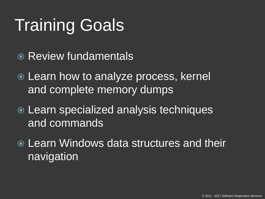# Training Goals

- Review fundamentals
- Learn how to analyze process, kernel and complete memory dumps
- Learn specialized analysis techniques and commands
- Learn Windows data structures and their navigation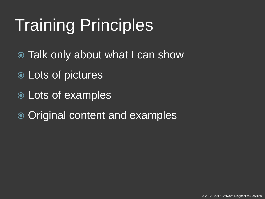# Training Principles

- Talk only about what I can show
- Lots of pictures
- Lots of examples
- **◎ Original content and examples**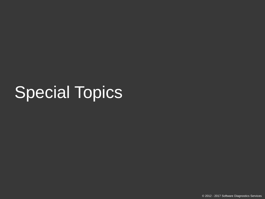### Special Topics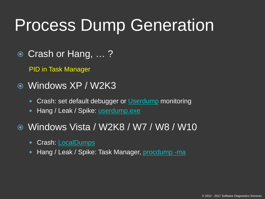### Process Dump Generation

Crash or Hang, … ?

PID in Task Manager

- Windows XP / W2K3
	- Crash: set default debugger or [Userdump](https://support.microsoft.com/en-us/help/241215/how-to-use-the-userdump-exe-tool-to-create-a-dump-file) monitoring
	- Hang / Leak / Spike: *userdump.exe*
- Windows Vista / W2K8 / W7 / W8 / W10
	- Crash: [LocalDumps](https://msdn.microsoft.com/en-us/library/windows/desktop/bb787181(v=vs.85).aspx)
	- Hang / Leak / Spike: Task Manager, [procdump -ma](https://docs.microsoft.com/en-us/sysinternals/downloads/procdump)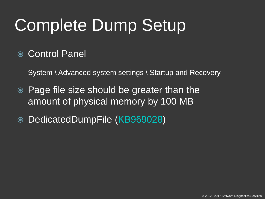# Complete Dump Setup

#### Control Panel

System \ Advanced system settings \ Startup and Recovery

- Page file size should be greater than the amount of physical memory by 100 MB
- DedicatedDumpFile ([KB969028](http://support.microsoft.com/kb/969028/en-us))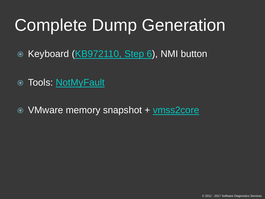### Complete Dump Generation

- Keyboard ([KB972110, Step 6](http://support.microsoft.com/kb/972110/en-us)), NMI button
- Tools: [NotMyFault](https://docs.microsoft.com/en-us/sysinternals/downloads/notmyfault)
- VMware memory snapshot + [vmss2core](https://labs.vmware.com/flings/vmss2core)